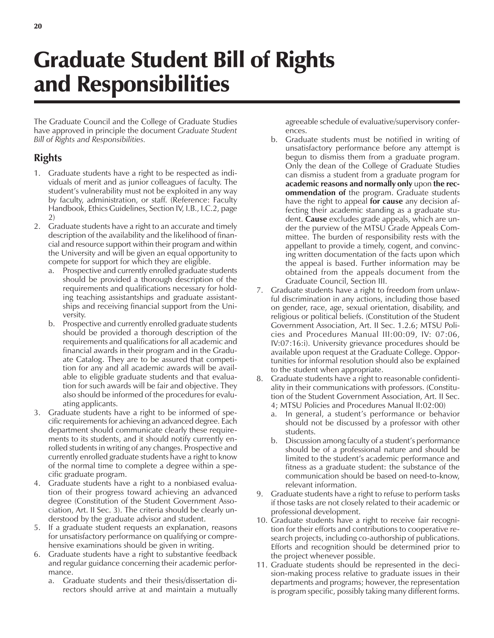## Graduate Student Bill of Rights and Responsibilities

The Graduate Council and the College of Graduate Studies have approved in principle the document *Graduate Student Bill of Rights and Responsibilities.*

## **Rights**

- 1. Graduate students have a right to be respected as individuals of merit and as junior colleagues of faculty. The student's vulnerability must not be exploited in any way by faculty, administration, or staff. (Reference: Faculty Handbook, Ethics Guidelines, Section IV, I.B., I.C.2, page 2)
- 2. Graduate students have a right to an accurate and timely description of the availability and the likelihood of financial and resource support within their program and within the University and will be given an equal opportunity to compete for support for which they are eligible.
	- a. Prospective and currently enrolled graduate students should be provided a thorough description of the requirements and qualifications necessary for holding teaching assistantships and graduate assistantships and receiving financial support from the University.
	- b. Prospective and currently enrolled graduate students should be provided a thorough description of the requirements and qualifications for all academic and financial awards in their program and in the Graduate Catalog. They are to be assured that competition for any and all academic awards will be available to eligible graduate students and that evaluation for such awards will be fair and objective. They also should be informed of the procedures for evaluating applicants.
- 3. Graduate students have a right to be informed of specific requirements for achieving an advanced degree. Each department should communicate clearly these requirements to its students, and it should notify currently enrolled students in writing of any changes. Prospective and currently enrolled graduate students have a right to know of the normal time to complete a degree within a specific graduate program.
- 4. Graduate students have a right to a nonbiased evaluation of their progress toward achieving an advanced degree (Constitution of the Student Government Association, Art. II Sec. 3). The criteria should be clearly understood by the graduate advisor and student.
- 5. If a graduate student requests an explanation, reasons for unsatisfactory performance on qualifying or comprehensive examinations should be given in writing.
- 6. Graduate students have a right to substantive feedback and regular guidance concerning their academic performance.
	- a. Graduate students and their thesis/dissertation directors should arrive at and maintain a mutually

agreeable schedule of evaluative/supervisory conferences.

- b. Graduate students must be notified in writing of unsatisfactory performance before any attempt is begun to dismiss them from a graduate program. Only the dean of the College of Graduate Studies can dismiss a student from a graduate program for **academic reasons and normally only** upon **the recommendation of** the program. Graduate students have the right to appeal **for cause** any decision affecting their academic standing as a graduate student. **Cause** excludes grade appeals, which are under the purview of the MTSU Grade Appeals Committee. The burden of responsibility rests with the appellant to provide a timely, cogent, and convincing written documentation of the facts upon which the appeal is based. Further information may be obtained from the appeals document from the Graduate Council, Section III.
- 7. Graduate students have a right to freedom from unlawful discrimination in any actions, including those based on gender, race, age, sexual orientation, disability, and religious or political beliefs. (Constitution of the Student Government Association, Art. II Sec. 1.2.6; MTSU Policies and Procedures Manual III:00:09, IV: 07:06, IV:07:16:i). University grievance procedures should be available upon request at the Graduate College. Opportunities for informal resolution should also be explained to the student when appropriate.
- 8. Graduate students have a right to reasonable confidentiality in their communications with professors. (Constitution of the Student Government Association, Art. II Sec. 4; MTSU Policies and Procedures Manual II:02:00)
	- a. In general, a studentís performance or behavior should not be discussed by a professor with other students.
	- b. Discussion among faculty of a student's performance should be of a professional nature and should be limited to the student's academic performance and fitness as a graduate student: the substance of the communication should be based on need-to-know, relevant information.
- 9. Graduate students have a right to refuse to perform tasks if those tasks are not closely related to their academic or professional development.
- 10. Graduate students have a right to receive fair recognition for their efforts and contributions to cooperative research projects, including co-authorship of publications. Efforts and recognition should be determined prior to the project whenever possible.
- 11. Graduate students should be represented in the decision-making process relative to graduate issues in their departments and programs; however, the representation is program specific, possibly taking many different forms.